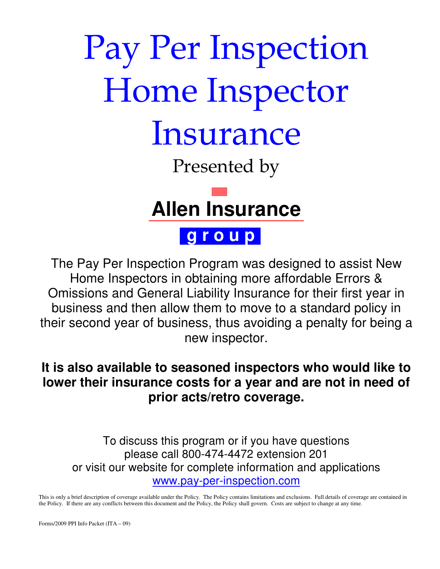# Pay Per Inspection Home Inspector Insurance Presented by

# **Allen Insurance**

# **g r o u p**

The Pay Per Inspection Program was designed to assist New Home Inspectors in obtaining more affordable Errors & Omissions and General Liability Insurance for their first year in business and then allow them to move to a standard policy in their second year of business, thus avoiding a penalty for being a new inspector.

## **It is also available to seasoned inspectors who would like to lower their insurance costs for a year and are not in need of prior acts/retro coverage.**

To discuss this program or if you have questions please call 800-474-4472 extension 201 or visit our website for complete information and applications www.pay-per-inspection.com

This is only a brief description of coverage available under the Policy. The Policy contains limitations and exclusions. Full details of coverage are contained in the Policy. If there are any conflicts between this document and the Policy, the Policy shall govern. Costs are subject to change at any time.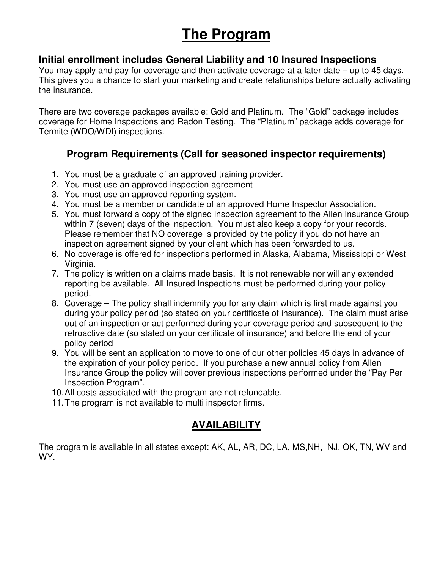## **The Program**

#### **Initial enrollment includes General Liability and 10 Insured Inspections**

You may apply and pay for coverage and then activate coverage at a later date – up to 45 days. This gives you a chance to start your marketing and create relationships before actually activating the insurance.

There are two coverage packages available: Gold and Platinum. The "Gold" package includes coverage for Home Inspections and Radon Testing. The "Platinum" package adds coverage for Termite (WDO/WDI) inspections.

#### **Program Requirements (Call for seasoned inspector requirements)**

- 1. You must be a graduate of an approved training provider.
- 2. You must use an approved inspection agreement
- 3. You must use an approved reporting system.
- 4. You must be a member or candidate of an approved Home Inspector Association.
- 5. You must forward a copy of the signed inspection agreement to the Allen Insurance Group within 7 (seven) days of the inspection. You must also keep a copy for your records. Please remember that NO coverage is provided by the policy if you do not have an inspection agreement signed by your client which has been forwarded to us.
- 6. No coverage is offered for inspections performed in Alaska, Alabama, Mississippi or West Virginia.
- 7. The policy is written on a claims made basis. It is not renewable nor will any extended reporting be available. All Insured Inspections must be performed during your policy period.
- 8. Coverage The policy shall indemnify you for any claim which is first made against you during your policy period (so stated on your certificate of insurance). The claim must arise out of an inspection or act performed during your coverage period and subsequent to the retroactive date (so stated on your certificate of insurance) and before the end of your policy period
- 9. You will be sent an application to move to one of our other policies 45 days in advance of the expiration of your policy period. If you purchase a new annual policy from Allen Insurance Group the policy will cover previous inspections performed under the "Pay Per Inspection Program".
- 10. All costs associated with the program are not refundable.
- 11. The program is not available to multi inspector firms.

#### **AVAILABILITY**

The program is available in all states except: AK, AL, AR, DC, LA, MS,NH, NJ, OK, TN, WV and WY.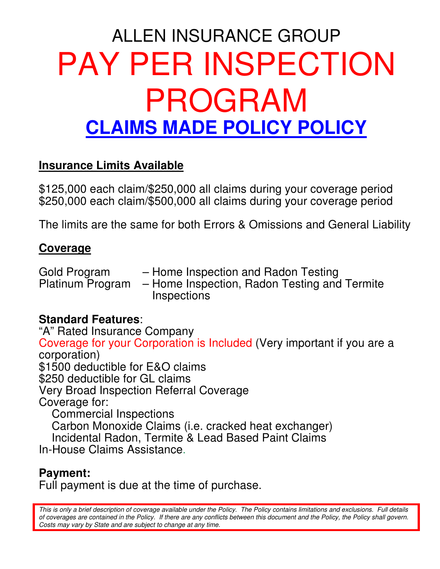# ALLEN INSURANCE GROUP PAY PER INSPECTION PROGRAM **CLAIMS MADE POLICY POLICY**

### **Insurance Limits Available**

\$125,000 each claim/\$250,000 all claims during your coverage period \$250,000 each claim/\$500,000 all claims during your coverage period

The limits are the same for both Errors & Omissions and General Liability

### **Coverage**

Gold Program – Home Inspection and Radon Testing<br>Platinum Program – Home Inspection, Radon Testing and – Home Inspection, Radon Testing and Termite **Inspections** 

#### **Standard Features**:

"A" Rated Insurance Company Coverage for your Corporation is Included (Very important if you are a corporation) \$1500 deductible for E&O claims \$250 deductible for GL claims Very Broad Inspection Referral Coverage Coverage for: Commercial Inspections Carbon Monoxide Claims (i.e. cracked heat exchanger) Incidental Radon, Termite & Lead Based Paint Claims In-House Claims Assistance.

#### **Payment:**

Full payment is due at the time of purchase.

This is only a brief description of coverage available under the Policy. The Policy contains limitations and exclusions. Full details of coverages are contained in the Policy. If there are any conflicts between this document and the Policy, the Policy shall govern. Costs may vary by State and are subject to change at any time.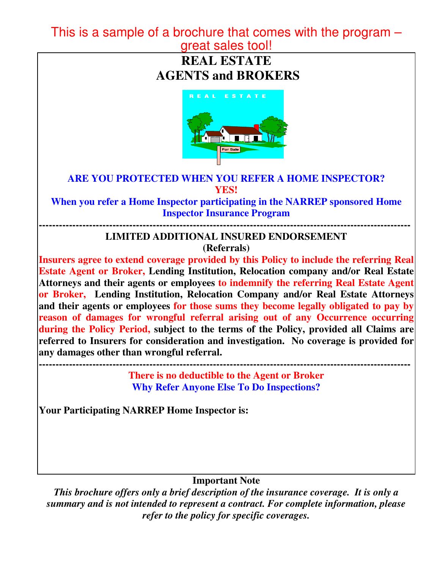#### This is a sample of a brochure that comes with the program – great sales tool!

**REAL ESTATE AGENTS and BROKERS** 



#### **ARE YOU PROTECTED WHEN YOU REFER A HOME INSPECTOR? YES!**

**When you refer a Home Inspector participating in the NARREP sponsored Home Inspector Insurance Program** 

#### **--------------------------------------------------------------------------------------------------------------- LIMITED ADDITIONAL INSURED ENDORSEMENT**

**(Referrals)** 

**Insurers agree to extend coverage provided by this Policy to include the referring Real Estate Agent or Broker, Lending Institution, Relocation company and/or Real Estate Attorneys and their agents or employees to indemnify the referring Real Estate Agent or Broker, Lending Institution, Relocation Company and/or Real Estate Attorneys and their agents or employees for those sums they become legally obligated to pay by reason of damages for wrongful referral arising out of any Occurrence occurring during the Policy Period, subject to the terms of the Policy, provided all Claims are referred to Insurers for consideration and investigation. No coverage is provided for any damages other than wrongful referral.** 

**--------------------------------------------------------------------------------------------------------------- There is no deductible to the Agent or Broker Why Refer Anyone Else To Do Inspections?**

**Your Participating NARREP Home Inspector is:** 

#### **Important Note**

*This brochure offers only a brief description of the insurance coverage. It is only a summary and is not intended to represent a contract. For complete information, please refer to the policy for specific coverages.*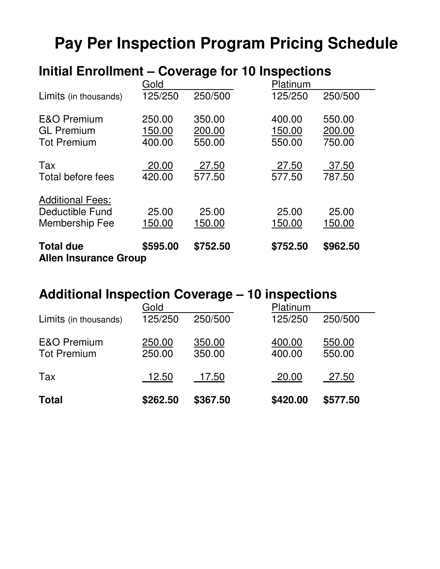# **Pay Per Inspection Program Pricing Schedule**

## **Initial Enrollment – Coverage for 10 Inspections**

| <b>Total due</b><br><b>Allen Insurance Group</b>                    | \$595.00                   | \$752.50                   | \$752.50                   | \$962.50                   |
|---------------------------------------------------------------------|----------------------------|----------------------------|----------------------------|----------------------------|
| <b>Additional Fees:</b><br>Deductible Fund<br><b>Membership Fee</b> | 25.00<br>150.00            | 25.00<br>150.00            | 25.00<br>150.00            | 25.00<br>150.00            |
| Tax<br>Total before fees                                            | 20.00<br>420.00            | 27.50<br>577.50            | 27.50<br>577.50            | 37.50<br>787.50            |
| <b>E&amp;O Premium</b><br><b>GL Premium</b><br><b>Tot Premium</b>   | 250.00<br>150.00<br>400.00 | 350.00<br>200.00<br>550.00 | 400.00<br>150.00<br>550.00 | 550.00<br>200.00<br>750.00 |
| Limits (in thousands)                                               | 125/250                    | 250/500                    | 125/250                    | 250/500                    |
|                                                                     | Gold                       |                            | Platinum                   |                            |

## **Additional Inspection Coverage – 10 inspections**

| <b>Total</b>                                 | \$262.50         | \$367.50         | \$420.00         | \$577.50         |
|----------------------------------------------|------------------|------------------|------------------|------------------|
| Tax                                          | 12.50            | 17.50            | 20.00            | 27.50            |
| <b>E&amp;O Premium</b><br><b>Tot Premium</b> | 250.00<br>250.00 | 350.00<br>350.00 | 400.00<br>400.00 | 550.00<br>550.00 |
| Limits (in thousands)                        | 125/250          | 250/500          | 125/250          | 250/500          |
|                                              | Gold             |                  | Platinum         |                  |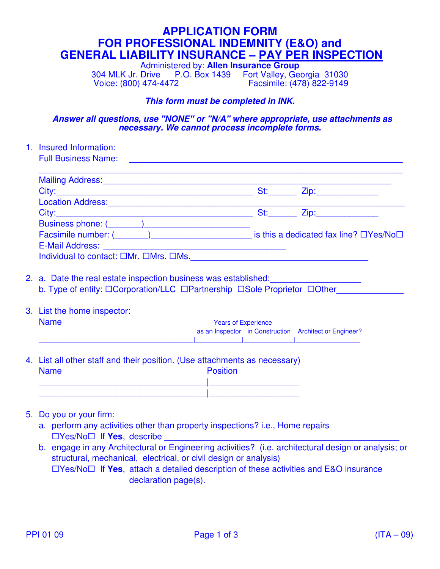#### **APPLICATION FORM FOR PROFESSIONAL INDEMNITY (E&O) and GENERAL LIABILITY INSURANCE – PAY PER INSPECTION**

Administered by: **Allen Insurance Group**

304 MLK Jr. Drive P.O. Box 1439 Fort Valley, Georgia 31030 Facsimile: (478) 822-9149

#### **This form must be completed in INK.**

 **Answer all questions, use "NONE" or "N/A" where appropriate, use attachments as necessary. We cannot process incomplete forms.**

1. Insured Information: Full Business Name:  $\overline{\phantom{a}}$  , and the contribution of the contribution of the contribution of the contribution of the contribution of the contribution of the contribution of the contribution of the contribution of the contribution of the Mailing Address: **Example 20** and 20 and 20 and 20 and 20 and 20 and 20 and 20 and 20 and 20 and 20 and 20 and 20 and 20 and 20 and 20 and 20 and 20 and 20 and 20 and 20 and 20 and 20 and 20 and 20 and 20 and 20 and 20 and City:\_\_\_\_\_\_\_\_\_\_\_\_\_\_\_\_\_\_\_\_\_\_\_\_\_\_\_\_\_\_\_\_\_\_\_\_\_\_\_\_\_ St:\_\_\_\_\_\_ Zip:\_\_\_\_\_\_\_\_\_\_\_\_\_ Location Address: City:\_\_\_\_\_\_\_\_\_\_\_\_\_\_\_\_\_\_\_\_\_\_\_\_\_\_\_\_\_\_\_\_\_\_\_\_\_\_\_\_\_ St:\_\_\_\_\_\_ Zip:\_\_\_\_\_\_\_\_\_\_\_\_\_ Business phone: ( Facsimile number:  $($   $)$   $)$   $\qquad$   $)$   $\qquad$  is this a dedicated fax line?  $\Box$  Yes/No $\Box$ E-Mail Address: Individual to contact:  $\square Mr. \ \square Mrs. \ \square Ms.$ 2. a. Date the real estate inspection business was established: b. Type of entity:  $\Box$ Corporation/LLC  $\Box$ Partnership  $\Box$ Sole Proprietor  $\Box$ Other 3. List the home inspector: Name **Name Name Name Name Name Name Name Name Name Name Name Name N**  as an Inspector in Construction Architect or Engineer? \_\_\_\_\_\_\_\_\_\_\_\_\_\_\_\_\_\_\_\_\_\_\_\_\_\_\_\_\_\_\_\_\_\_\_\_\_\_\_\_\_\_\_|\_\_\_\_\_\_\_\_\_\_\_\_\_|\_\_\_\_\_\_\_\_\_\_\_\_\_\_|\_\_\_\_\_\_\_\_\_\_\_\_\_\_\_\_\_\_ 4. List all other staff and their position. (Use attachments as necessary)

Name **Name Position** \_\_\_\_\_\_\_\_\_\_\_\_\_\_\_\_\_\_\_\_\_\_\_\_\_\_\_\_\_\_\_\_\_\_\_|\_\_\_\_\_\_\_\_\_\_\_\_\_\_\_\_\_\_\_ \_\_\_\_\_\_\_\_\_\_\_\_\_\_\_\_\_\_\_\_\_\_\_\_\_\_\_\_\_\_\_\_\_\_\_|\_\_\_\_\_\_\_\_\_\_\_\_\_\_\_\_\_\_\_

- 5. Do you or your firm:
	- a. perform any activities other than property inspections? i.e., Home repairs □Yes/No□ If Yes, describe
	- b. engage in any Architectural or Engineering activities? (i.e. architectural design or analysis; or structural, mechanical, electrical, or civil design or analysis)  $\Box$ Yes/No $\Box$  If **Yes**, attach a detailed description of these activities and E&O insurance declaration page(s).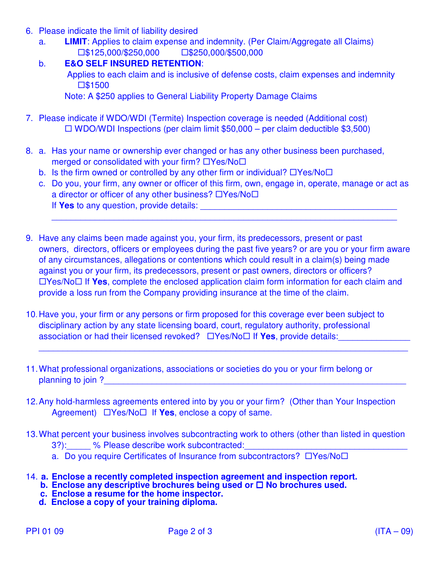- 6. Please indicate the limit of liability desired
	- a. **LIMIT**: Applies to claim expense and indemnity. (Per Claim/Aggregate all Claims)  $\square$ \$125,000/\$250,000  $\square$ \$250,000/\$500,000
	- b. **E&O SELF INSURED RETENTION**:

 Applies to each claim and is inclusive of defense costs, claim expenses and indemnity ■ **\$1500** 

Note: A \$250 applies to General Liability Property Damage Claims

- 7. Please indicate if WDO/WDI (Termite) Inspection coverage is needed (Additional cost)  $\Box$  WDO/WDI Inspections (per claim limit \$50,000 – per claim deductible \$3,500)
- 8. a. Has your name or ownership ever changed or has any other business been purchased, merged or consolidated with your firm?  $\Box$ Yes/No $\Box$ 
	- b. Is the firm owned or controlled by any other firm or individual?  $\Box$  Yes/No $\Box$
	- c. Do you, your firm, any owner or officer of this firm, own, engage in, operate, manage or act as a director or officer of any other business?  $\Box$ Yes/No $\Box$ If **Yes** to any question, provide details: \_\_\_\_\_\_\_\_\_\_\_\_\_\_\_\_\_\_\_\_\_\_\_\_\_\_\_\_\_\_\_\_\_\_\_\_\_\_\_\_\_

 $\_$  , and the set of the set of the set of the set of the set of the set of the set of the set of the set of the set of the set of the set of the set of the set of the set of the set of the set of the set of the set of th

- 9. Have any claims been made against you, your firm, its predecessors, present or past owners, directors, officers or employees during the past five years? or are you or your firm aware of any circumstances, allegations or contentions which could result in a claim(s) being made against you or your firm, its predecessors, present or past owners, directors or officers?  $\Box$ Yes/No $\Box$  If **Yes**, complete the enclosed application claim form information for each claim and provide a loss run from the Company providing insurance at the time of the claim.
- 10. Have you, your firm or any persons or firm proposed for this coverage ever been subject to disciplinary action by any state licensing board, court, regulatory authority, professional association or had their licensed revoked?  $\Box$  Yes/No $\Box$  If **Yes**, provide details:

 $\overline{\phantom{a}}$  ,  $\overline{\phantom{a}}$  ,  $\overline{\phantom{a}}$  ,  $\overline{\phantom{a}}$  ,  $\overline{\phantom{a}}$  ,  $\overline{\phantom{a}}$  ,  $\overline{\phantom{a}}$  ,  $\overline{\phantom{a}}$  ,  $\overline{\phantom{a}}$  ,  $\overline{\phantom{a}}$  ,  $\overline{\phantom{a}}$  ,  $\overline{\phantom{a}}$  ,  $\overline{\phantom{a}}$  ,  $\overline{\phantom{a}}$  ,  $\overline{\phantom{a}}$  ,  $\overline{\phantom{a}}$ 

- 11. What professional organizations, associations or societies do you or your firm belong or planning to join ?\_\_\_\_\_\_\_\_\_\_\_\_\_\_\_\_\_\_\_\_\_\_\_\_\_\_\_\_\_\_\_\_\_\_\_\_\_\_\_\_\_\_\_\_\_\_\_\_\_\_\_\_\_\_\_\_\_\_\_\_\_\_\_
- 12. Any hold-harmless agreements entered into by you or your firm? (Other than Your Inspection Agreement)  $\Box$  Yes/No $\Box$  If **Yes**, enclose a copy of same.
- 13. What percent your business involves subcontracting work to others (other than listed in question 3?): % Please describe work subcontracted:
	- a. Do you require Certificates of Insurance from subcontractors?  $\Box$ Yes/No $\Box$
- 14. **a. Enclose a recently completed inspection agreement and inspection report.**
- **b. Enclose any descriptive brochures being used or □ No brochures used.**
- **c. Enclose a resume for the home inspector.**
	- **d. Enclose a copy of your training diploma.**